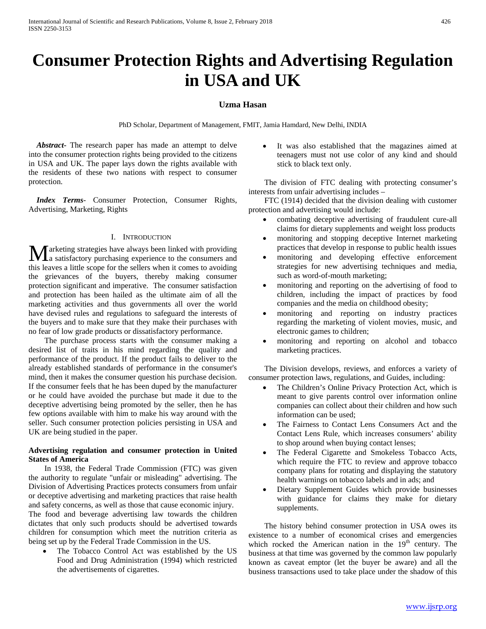# **Consumer Protection Rights and Advertising Regulation in USA and UK**

## **Uzma Hasan**

PhD Scholar, Department of Management, FMIT, Jamia Hamdard, New Delhi, INDIA

 *Abstract***-** The research paper has made an attempt to delve into the consumer protection rights being provided to the citizens in USA and UK. The paper lays down the rights available with the residents of these two nations with respect to consumer protection.

 *Index Terms*- Consumer Protection, Consumer Rights, Advertising, Marketing, Rights

#### I. INTRODUCTION

arketing strategies have always been linked with providing **M** arketing strategies have always been linked with providing<br>a satisfactory purchasing experience to the consumers and this leaves a little scope for the sellers when it comes to avoiding the grievances of the buyers, thereby making consumer protection significant and imperative. The consumer satisfaction and protection has been hailed as the ultimate aim of all the marketing activities and thus governments all over the world have devised rules and regulations to safeguard the interests of the buyers and to make sure that they make their purchases with no fear of low grade products or dissatisfactory performance.

 The purchase process starts with the consumer making a desired list of traits in his mind regarding the quality and performance of the product. If the product fails to deliver to the already established standards of performance in the consumer's mind, then it makes the consumer question his purchase decision. If the consumer feels that he has been duped by the manufacturer or he could have avoided the purchase but made it due to the deceptive advertising being promoted by the seller, then he has few options available with him to make his way around with the seller. Such consumer protection policies persisting in USA and UK are being studied in the paper.

### **Advertising regulation and consumer protection in United States of America**

 In 1938, the Federal Trade Commission (FTC) was given the authority to regulate "unfair or misleading" advertising. The Division of Advertising Practices protects consumers from unfair or deceptive advertising and marketing practices that raise health and safety concerns, as well as those that cause economic injury. The food and beverage advertising law towards the children dictates that only such products should be advertised towards children for consumption which meet the nutrition criteria as being set up by the Federal Trade Commission in the US.

• The Tobacco Control Act was established by the US Food and Drug Administration (1994) which restricted the advertisements of cigarettes.

It was also established that the magazines aimed at teenagers must not use color of any kind and should stick to black text only.

 The division of FTC dealing with protecting consumer's interests from unfair advertising includes –

 FTC (1914) decided that the division dealing with customer protection and advertising would include:

- combating deceptive advertising of fraudulent cure-all claims for dietary supplements and weight loss products
- monitoring and stopping deceptive Internet marketing practices that develop in response to public health issues
- monitoring and developing effective enforcement strategies for new advertising techniques and media, such as word-of-mouth marketing;
- monitoring and reporting on the advertising of food to children, including the impact of practices by food companies and the media on childhood obesity;
- monitoring and reporting on industry practices regarding the marketing of violent movies, music, and electronic games to children;
- monitoring and reporting on alcohol and tobacco marketing practices.

 The Division develops, reviews, and enforces a variety of consumer protection laws, regulations, and Guides, including:

- The Children's Online Privacy Protection Act, which is meant to give parents control over information online companies can collect about their children and how such information can be used;
- The Fairness to Contact Lens Consumers Act and the Contact Lens Rule, which increases consumers' ability to shop around when buying contact lenses;
- The Federal Cigarette and Smokeless Tobacco Acts, which require the FTC to review and approve tobacco company plans for rotating and displaying the statutory health warnings on tobacco labels and in ads; and
- Dietary Supplement Guides which provide businesses with guidance for claims they make for dietary supplements.

 The history behind consumer protection in USA owes its existence to a number of economical crises and emergencies which rocked the American nation in the  $19<sup>th</sup>$  century. The business at that time was governed by the common law popularly known as caveat emptor (let the buyer be aware) and all the business transactions used to take place under the shadow of this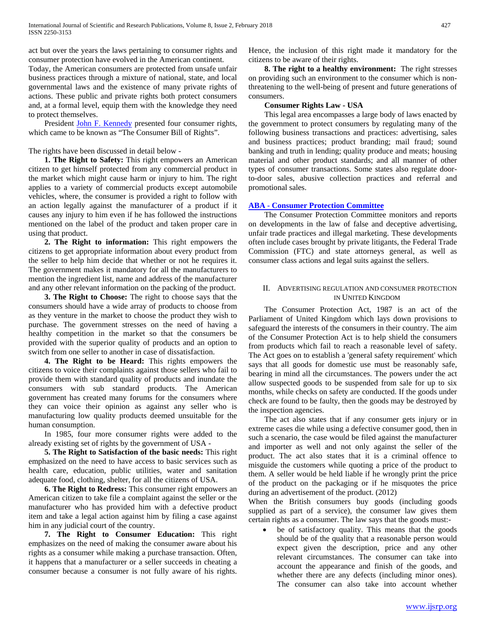act but over the years the laws pertaining to consumer rights and consumer protection have evolved in the American continent.

Today, the American consumers are protected from unsafe unfair business practices through a mixture of national, state, and local governmental laws and the existence of many private rights of actions. These public and private rights both protect consumers and, at a formal level, equip them with the knowledge they need to protect themselves.

 President [John F. Kennedy](http://en.wikipedia.org/wiki/John_F._Kennedy) presented four consumer rights, which came to be known as "The Consumer Bill of Rights".

The rights have been discussed in detail below -

 **1. The Right to Safety:** This right empowers an American citizen to get himself protected from any commercial product in the market which might cause harm or injury to him. The right applies to a variety of commercial products except automobile vehicles, where, the consumer is provided a right to follow with an action legally against the manufacturer of a product if it causes any injury to him even if he has followed the instructions mentioned on the label of the product and taken proper care in using that product.

 **2. The Right to information:** This right empowers the citizens to get appropriate information about every product from the seller to help him decide that whether or not he requires it. The government makes it mandatory for all the manufacturers to mention the ingredient list, name and address of the manufacturer and any other relevant information on the packing of the product.

 **3. The Right to Choose:** The right to choose says that the consumers should have a wide array of products to choose from as they venture in the market to choose the product they wish to purchase. The government stresses on the need of having a healthy competition in the market so that the consumers be provided with the superior quality of products and an option to switch from one seller to another in case of dissatisfaction.

 **4. The Right to be Heard:** This rights empowers the citizens to voice their complaints against those sellers who fail to provide them with standard quality of products and inundate the consumers with sub standard products. The American government has created many forums for the consumers where they can voice their opinion as against any seller who is manufacturing low quality products deemed unsuitable for the human consumption.

 In 1985, four more consumer rights were added to the already existing set of rights by the government of USA -

 **5. The Right to Satisfaction of the basic needs:** This right emphasized on the need to have access to basic services such as health care, education, public utilities, water and sanitation adequate food, clothing, shelter, for all the citizens of USA.

 **6. The Right to Redress:** This consumer right empowers an American citizen to take file a complaint against the seller or the manufacturer who has provided him with a defective product item and take a legal action against him by filing a case against him in any judicial court of the country.

 **7. The Right to Consumer Education:** This right emphasizes on the need of making the consumer aware about his rights as a consumer while making a purchase transaction. Often, it happens that a manufacturer or a seller succeeds in cheating a consumer because a consumer is not fully aware of his rights. Hence, the inclusion of this right made it mandatory for the citizens to be aware of their rights.

 **8. The right to a healthy environment:** The right stresses on providing such an environment to the consumer which is nonthreatening to the well-being of present and future generations of consumers.

## **Consumer Rights Law - USA**

 This legal area encompasses a large body of laws enacted by the government to protect consumers by regulating many of the following business transactions and practices: advertising, sales and business practices; product branding; mail fraud; sound banking and truth in lending; quality produce and meats; housing material and other product standards; and all manner of other types of consumer transactions. Some states also regulate doorto-door sales, abusive collection practices and referral and promotional sales.

## **ABA - [Consumer Protection Committee](http://www.abanet.org/dch/committee.cfm?com=AT329400)**

 The Consumer Protection Committee monitors and reports on developments in the law of false and deceptive advertising, unfair trade practices and illegal marketing. These developments often include cases brought by private litigants, the Federal Trade Commission (FTC) and state attorneys general, as well as consumer class actions and legal suits against the sellers.

## II. ADVERTISING REGULATION AND CONSUMER PROTECTION IN UNITED KINGDOM

 The Consumer Protection Act, 1987 is an act of the Parliament of United Kingdom which lays down provisions to safeguard the interests of the consumers in their country. The aim of the Consumer Protection Act is to help shield the consumers from products which fail to reach a reasonable level of safety. The Act goes on to establish a 'general safety requirement' which says that all goods for domestic use must be reasonably safe, bearing in mind all the circumstances. The powers under the act allow suspected goods to be suspended from sale for up to six months, while checks on safety are conducted. If the goods under check are found to be faulty, then the goods may be destroyed by the inspection agencies.

 The act also states that if any consumer gets injury or in extreme cases die while using a defective consumer good, then in such a scenario, the case would be filed against the manufacturer and importer as well and not only against the seller of the product. The act also states that it is a criminal offence to misguide the customers while quoting a price of the product to them. A seller would be held liable if he wrongly print the price of the product on the packaging or if he misquotes the price during an advertisement of the product. (2012)

When the British consumers buy goods (including goods supplied as part of a service), the consumer law gives them certain rights as a consumer. The law says that the goods must:-

be of satisfactory quality. This means that the goods should be of the quality that a reasonable person would expect given the description, price and any other relevant circumstances. The consumer can take into account the appearance and finish of the goods, and whether there are any defects (including minor ones). The consumer can also take into account whether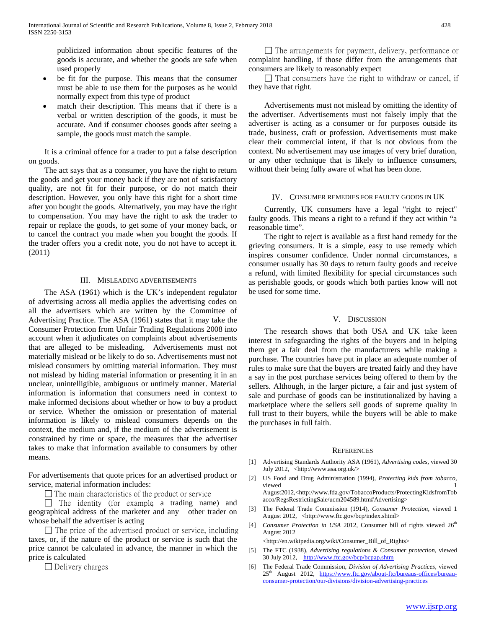publicized information about specific features of the goods is accurate, and whether the goods are safe when used properly

- be fit for the purpose. This means that the consumer must be able to use them for the purposes as he would normally expect from this type of product
- match their description. This means that if there is a verbal or written description of the goods, it must be accurate. And if consumer chooses goods after seeing a sample, the goods must match the sample.

 It is a criminal offence for a trader to put a false description on goods.

 The act says that as a consumer, you have the right to return the goods and get your money back if they are not of satisfactory quality, are not fit for their purpose, or do not match their description. However, you only have this right for a short time after you bought the goods. Alternatively, you may have the right to compensation. You may have the right to ask the trader to repair or replace the goods, to get some of your money back, or to cancel the contract you made when you bought the goods. If the trader offers you a credit note, you do not have to accept it. (2011)

#### III. MISLEADING ADVERTISEMENTS

 The ASA (1961) which is the UK's independent regulator of advertising across all media applies the advertising codes on all the advertisers which are written by the Committee of Advertising Practice. The ASA (1961) states that it may take the Consumer Protection from Unfair Trading Regulations 2008 into account when it adjudicates on complaints about advertisements that are alleged to be misleading. Advertisements must not materially mislead or be likely to do so. Advertisements must not mislead consumers by omitting material information. They must not mislead by hiding material information or presenting it in an unclear, unintelligible, ambiguous or untimely manner. Material information is information that consumers need in context to make informed decisions about whether or how to buy a product or service. Whether the omission or presentation of material information is likely to mislead consumers depends on the context, the medium and, if the medium of the advertisement is constrained by time or space, the measures that the advertiser takes to make that information available to consumers by other means.

For advertisements that quote prices for an advertised product or service, material information includes:

 $\Box$  The main characteristics of the product or service

 $\Box$  The identity (for example, a trading name) and geographical address of the marketer and any other trader on whose behalf the advertiser is acting

 $\Box$  The price of the advertised product or service, including taxes, or, if the nature of the product or service is such that the price cannot be calculated in advance, the manner in which the price is calculated

 $\Box$  Delivery charges

 $\Box$  The arrangements for payment, delivery, performance or complaint handling, if those differ from the arrangements that consumers are likely to reasonably expect

 $\Box$  That consumers have the right to withdraw or cancel, if they have that right.

 Advertisements must not mislead by omitting the identity of the advertiser. Advertisements must not falsely imply that the advertiser is acting as a consumer or for purposes outside its trade, business, craft or profession. Advertisements must make clear their commercial intent, if that is not obvious from the context. No advertisement may use images of very brief duration, or any other technique that is likely to influence consumers, without their being fully aware of what has been done.

#### IV. CONSUMER REMEDIES FOR FAULTY GOODS IN UK

 Currently, UK consumers have a legal "right to reject" faulty goods. This means a right to a refund if they act within "a reasonable time".

 The right to reject is available as a first hand remedy for the grieving consumers. It is a simple, easy to use remedy which inspires consumer confidence. Under normal circumstances, a consumer usually has 30 days to return faulty goods and receive a refund, with limited flexibility for special circumstances such as perishable goods, or goods which both parties know will not be used for some time.

#### V. DISCUSSION

 The research shows that both USA and UK take keen interest in safeguarding the rights of the buyers and in helping them get a fair deal from the manufacturers while making a purchase. The countries have put in place an adequate number of rules to make sure that the buyers are treated fairly and they have a say in the post purchase services being offered to them by the sellers. Although, in the larger picture, a fair and just system of sale and purchase of goods can be institutionalized by having a marketplace where the sellers sell goods of supreme quality in full trust to their buyers, while the buyers will be able to make the purchases in full faith.

#### **REFERENCES**

- [1] Advertising Standards Authority ASA (1961), *Advertising codes,* viewed 30 July 2012, <http://www.asa.org.uk/>
- [2] US Food and Drug Administration (1994), *Protecting kids from tobacco,*  viewed 1 August2012,<http://www.fda.gov/TobaccoProducts/ProtectingKidsfromTob acco/RegsRestrictingSale/ucm204589.htm#Advertising>
- [3] The Federal Trade Commission (1914), *Consumer Protection,* viewed 1 August 2012, <http://www.ftc.gov/bcp/index.shtml>
- [4] *Consumer Protection in USA 2012*, Consumer bill of rights viewed 26<sup>th</sup> August 2012

<http://en.wikipedia.org/wiki/Consumer\_Bill\_of\_Rights>

- [5] The FTC (1938), *Advertising regulations & Consumer protection,* viewed 30 July 2012, <http://www.ftc.gov/bcp/bcpap.shtm>
- [6] The Federal Trade Commission, *Division of Advertising Practices,* viewed 25<sup>th</sup> August 2012, [https://www.ftc.gov/about-ftc/bureaus-offices/bureau](https://www.ftc.gov/about-ftc/bureaus-offices/bureau-consumer-protection/our-divisions/division-advertising-practices)[consumer-protection/our-divisions/division-advertising-practices](https://www.ftc.gov/about-ftc/bureaus-offices/bureau-consumer-protection/our-divisions/division-advertising-practices)